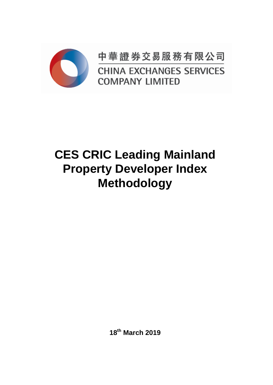

中華證券交易服務有限公司 **CHINA EXCHANGES SERVICES COMPANY LIMITED** 

# **CES CRIC Leading Mainland Property Developer Index Methodology**

**18th March 2019**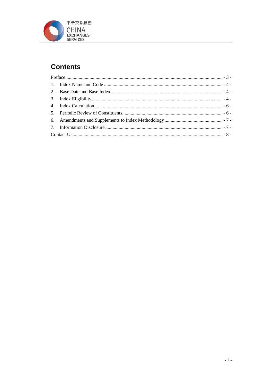

## **Contents**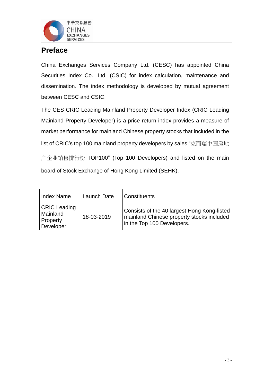

### <span id="page-2-0"></span>**Preface**

China Exchanges Services Company Ltd. (CESC) has appointed China Securities Index Co., Ltd. (CSIC) for index calculation, maintenance and dissemination. The index methodology is developed by mutual agreement between CESC and CSIC.

The CES CRIC Leading Mainland Property Developer Index (CRIC Leading Mainland Property Developer) is a price return index provides a measure of market performance for mainland Chinese property stocks that included in the list of CRIC's top 100 mainland property developers by sales "克而瑞中国房地 产企业销售排行榜 TOP100" (Top 100 Developers) and listed on the main board of Stock Exchange of Hong Kong Limited (SEHK).

| Index Name                                               | Launch Date | <b>Constituents</b>                                                                                                    |
|----------------------------------------------------------|-------------|------------------------------------------------------------------------------------------------------------------------|
| <b>CRIC Leading</b><br>Mainland<br>Property<br>Developer | 18-03-2019  | Consists of the 40 largest Hong Kong-listed<br>mainland Chinese property stocks included<br>in the Top 100 Developers. |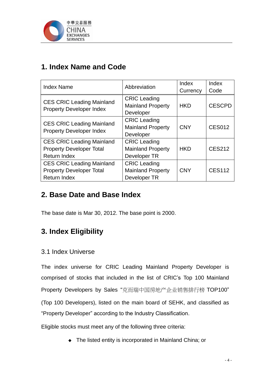

## <span id="page-3-0"></span>**1. Index Name and Code**

| <b>Index Name</b>                                                                          | Abbreviation                                                    | Index<br>Currency | Index<br>Code |
|--------------------------------------------------------------------------------------------|-----------------------------------------------------------------|-------------------|---------------|
| <b>CES CRIC Leading Mainland</b><br><b>Property Developer Index</b>                        | <b>CRIC Leading</b><br><b>Mainland Property</b><br>Developer    | <b>HKD</b>        | <b>CESCPD</b> |
| <b>CES CRIC Leading Mainland</b><br><b>Property Developer Index</b>                        | <b>CRIC Leading</b><br><b>Mainland Property</b><br>Developer    | <b>CNY</b>        | <b>CES012</b> |
| <b>CES CRIC Leading Mainland</b><br><b>Property Developer Total</b><br><b>Return Index</b> | <b>CRIC Leading</b><br><b>Mainland Property</b><br>Developer TR | <b>HKD</b>        | <b>CES212</b> |
| <b>CES CRIC Leading Mainland</b><br><b>Property Developer Total</b><br><b>Return Index</b> | <b>CRIC Leading</b><br><b>Mainland Property</b><br>Developer TR | <b>CNY</b>        | <b>CES112</b> |

## <span id="page-3-1"></span>**2. Base Date and Base Index**

The base date is Mar 30, 2012. The base point is 2000.

## <span id="page-3-2"></span>**3. Index Eligibility**

#### 3.1 Index Universe

The index universe for CRIC Leading Mainland Property Developer is comprised of stocks that included in the list of CRIC's Top 100 Mainland Property Developers by Sales "克而瑞中国房地产企业销售排行榜 TOP100" (Top 100 Developers), listed on the main board of SEHK, and classified as "Property Developer" according to the Industry Classification.

Eligible stocks must meet any of the following three criteria:

◆ The listed entity is incorporated in Mainland China; or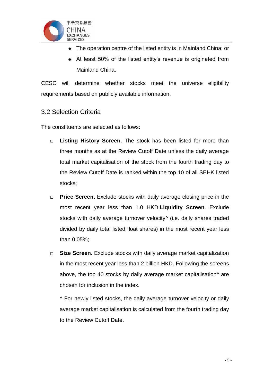

- The operation centre of the listed entity is in Mainland China; or
- At least 50% of the listed entity's revenue is originated from Mainland China.

CESC will determine whether stocks meet the universe eligibility requirements based on publicly available information.

#### 3.2 Selection Criteria

The constituents are selected as follows:

- **Listing History Screen.** The stock has been listed for more than three months as at the Review Cutoff Date unless the daily average total market capitalisation of the stock from the fourth trading day to the Review Cutoff Date is ranked within the top 10 of all SEHK listed stocks;
- **Price Screen.** Exclude stocks with daily average closing price in the most recent year less than 1.0 HKD;**Liquidity Screen**. Exclude stocks with daily average turnover velocity<sup>^</sup> (i.e. daily shares traded divided by daily total listed float shares) in the most recent year less than 0.05%;
- □ **Size Screen.** Exclude stocks with daily average market capitalization in the most recent year less than 2 billion HKD. Following the screens above, the top 40 stocks by daily average market capitalisation^ are chosen for inclusion in the index.

^ For newly listed stocks, the daily average turnover velocity or daily average market capitalisation is calculated from the fourth trading day to the Review Cutoff Date.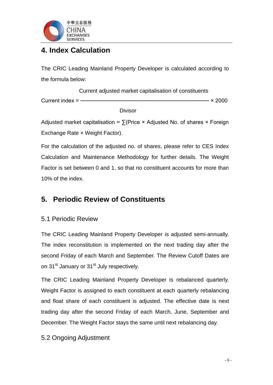

## <span id="page-5-0"></span>**4. Index Calculation**

The CRIC Leading Mainland Property Developer is calculated according to the formula below:

 Current adjusted market capitalisation of constituents Current index = ───────────────────────────────── × 2000

Divisor

Adjusted market capitalisation =  $\sum$ (Price × Adjusted No. of shares × Foreign Exchange Rate × Weight Factor).

For the calculation of the adjusted no. of shares, please refer to CES Index Calculation and Maintenance Methodology for further details. The Weight Factor is set between 0 and 1, so that no constituent accounts for more than 10% of the index.

## <span id="page-5-1"></span>**5. Periodic Review of Constituents**

#### 5.1 Periodic Review

The CRIC Leading Mainland Property Developer is adjusted semi-annually. The index reconstitution is implemented on the next trading day after the second Friday of each March and September. The Review Cutoff Dates are on 31<sup>st</sup> January or 31<sup>st</sup> July respectively.

The CRIC Leading Mainland Property Developer is rebalanced quarterly. Weight Factor is assigned to each constituent at each quarterly rebalancing and float share of each constituent is adjusted. The effective date is next trading day after the second Friday of each March, June, September and December. The Weight Factor stays the same until next rebalancing day.

#### 5.2 Ongoing Adjustment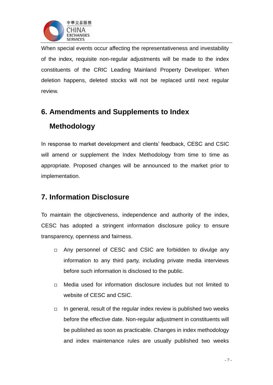

When special events occur affecting the representativeness and investability of the index, requisite non-regular adjustments will be made to the index constituents of the CRIC Leading Mainland Property Developer. When deletion happens, deleted stocks will not be replaced until next regular review.

## <span id="page-6-0"></span>**6. Amendments and Supplements to Index Methodology**

In response to market development and clients' feedback, CESC and CSIC will amend or supplement the Index Methodology from time to time as appropriate. Proposed changes will be announced to the market prior to implementation.

## <span id="page-6-1"></span>**7. Information Disclosure**

To maintain the objectiveness, independence and authority of the index, CESC has adopted a stringent information disclosure policy to ensure transparency, openness and fairness.

- □ Any personnel of CESC and CSIC are forbidden to divulge any information to any third party, including private media interviews before such information is disclosed to the public.
- $\Box$  Media used for information disclosure includes but not limited to website of CESC and CSIC.
- $\Box$  In general, result of the regular index review is published two weeks before the effective date. Non-regular adjustment in constituents will be published as soon as practicable. Changes in index methodology and index maintenance rules are usually published two weeks